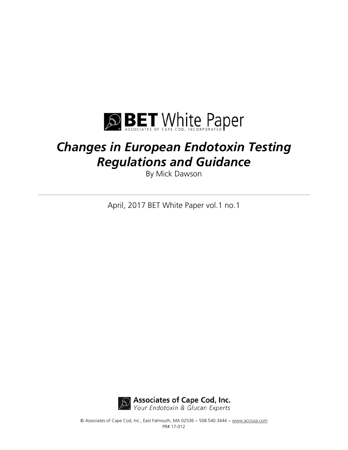

# *Changes in European Endotoxin Testing Regulations and Guidance*

By Mick Dawson

April, 2017 BET White Paper vol.1 no.1



© Associates of Cape Cod, Inc., East Falmouth, MA 02536 ~ 508.540.3444 ~ www.acciusa.com PR# 17-012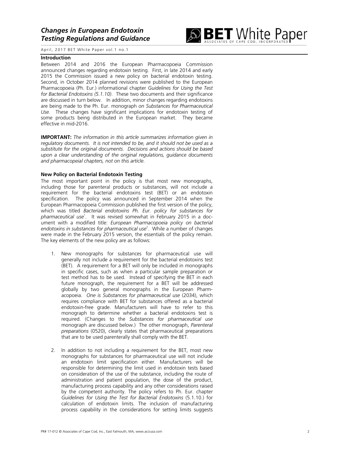

#### **Introduction**

Between 2014 and 2016 the European Pharmacopoeia Commission announced changes regarding endotoxin testing. First, in late 2014 and early 2015 the Commission issued a new policy on bacterial endotoxin testing. Second, in October 2014 planned revisions were published to the European Pharmacopoeia (Ph. Eur.) informational chapter *Guidelines for Using the Test for Bacterial Endotoxins (5.1.10)*. These two documents and their significance are discussed in turn below. In addition, minor changes regarding endotoxins are being made to the Ph. Eur. monograph *on Substances for Pharmaceutical Use.* These changes have significant implications for endotoxin testing of some products being distributed in the European market. They became effective in mid-2016.

**IMPORTANT:** *The information in this article summarizes information given in regulatory documents. It is not intended to be, and it should not be used as a substitute for the original documents. Decisions and actions should be based upon a clear understanding of the original regulations, guidance documents and pharmacopeial chapters, not on this article.*

## **New Policy on Bacterial Endotoxin Testing**

The most important point in the policy is that most new monographs, including those for parenteral products or substances, will not include a requirement for the bacterial endotoxins test (BET) or an endotoxin specification. The policy was announced in September 2014 when the European Pharmacopoeia Commission published the first version of the policy, which was titled *Bacterial endotoxins Ph. Eur. policy for substances for pharmaceutical use* 1 . It was revised somewhat in February 2015 in a document with a modified title: *European Pharmacopoeia policy on bacterial endotoxins in substances for pharmaceutical use* 2 . While a number of changes were made in the February 2015 version, the essentials of the policy remain. The key elements of the new policy are as follows:

- 1. New monographs for substances for pharmaceutical use will generally not include a requirement for the bacterial endotoxins test (BET). A requirement for a BET will only be included in monographs in specific cases, such as when a particular sample preparation or test method has to be used. Instead of specifying the BET in each future monograph, the requirement for a BET will be addressed globally by two general monographs in the European Pharmacopoeia. *One is Substances for pharmaceutical use* (2034), which requires compliance with BET for substances offered as a bacterial endotoxin-free grade. Manufacturers will have to refer to this monograph to determine whether a bacterial endotoxins test is required. (Changes to the *Substances for pharmaceutical use* monograph are discussed below.) The other monograph, *Parenteral preparations* (0520), clearly states that pharmaceutical preparations that are to be used parenterally shall comply with the BET.
- 2. In addition to not including a requirement for the BET, most new monographs for substances for pharmaceutical use will not include an endotoxin limit specification either. Manufacturers will be responsible for determining the limit used in endotoxin tests based on consideration of the use of the substance, including the route of administration and patient population, the dose of the product, manufacturing process capability and any other considerations raised by the competent authority. The policy refers to Ph. Eur. chapter *Guidelines for Using the Test for Bacterial Endotoxins* (5.1.10.) for calculation of endotoxin limits. The inclusion of manufacturing process capability in the considerations for setting limits suggests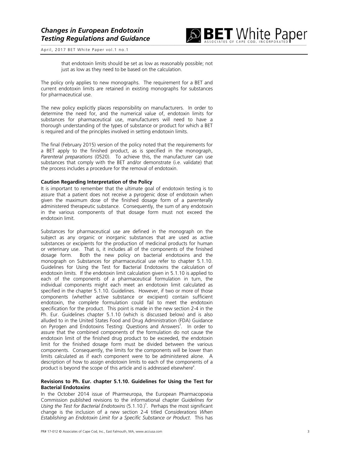

that endotoxin limits should be set as low as reasonably possible; not just as low as they need to be based on the calculation.

The policy only applies to new monographs. The requirement for a BET and current endotoxin limits are retained in existing monographs for substances for pharmaceutical use.

The new policy explicitly places responsibility on manufacturers. In order to determine the need for, and the numerical value of, endotoxin limits for substances for pharmaceutical use, manufacturers will need to have a thorough understanding of the types of substance or product for which a BET is required and of the principles involved in setting endotoxin limits.

The final (February 2015) version of the policy noted that the requirements for a BET apply to the finished product, as is specified in the monograph, *Parenteral preparations* (0520). To achieve this, the manufacturer can use substances that comply with the BET and/or demonstrate (i.e. validate) that the process includes a procedure for the removal of endotoxin.

## **Caution Regarding Interpretation of the Policy**

It is important to remember that the ultimate goal of endotoxin testing is to assure that a patient does not receive a pyrogenic dose of endotoxin when given the maximum dose of the finished dosage form of a parenterally administered therapeutic substance. Consequently, the sum of any endotoxin in the various components of that dosage form must not exceed the endotoxin limit.

Substances for pharmaceutical use are defined in the monograph on the subject as any organic or inorganic substances that are used as active substances or excipients for the production of medicinal products for human or veterinary use. That is, it includes all of the components of the finished dosage form. Both the new policy on bacterial endotoxins and the monograph on Substances for pharmaceutical use refer to chapter 5.1.10. Guidelines for Using the Test for Bacterial Endotoxins the calculation of endotoxin limits. If the endotoxin limit calculation given in 5.1.10 is applied to each of the components of a pharmaceutical formulation in turn, the individual components might each meet an endotoxin limit calculated as specified in the chapter 5.1.10. Guidelines. However, if two or more of those components (whether active substance or excipient) contain sufficient endotoxin, the complete formulation could fail to meet the endotoxin specification for the product. This point is made in the new section 2-4 in the Ph. Eur. Guidelines chapter 5.1.10 (which is discussed below) and is also alluded to in the United States Food and Drug Administration (FDA) Guidance on Pyrogen and Endotoxins Testing: Questions and Answers<sup>3</sup>. In order to assure that the combined components of the formulation do not cause the endotoxin limit of the finished drug product to be exceeded, the endotoxin limit for the finished dosage form must be divided between the various components. Consequently, the limits for the components will be lower than limits calculated as if each component were to be administered alone. A description of how to assign endotoxin limits to each of the components of a product is beyond the scope of this article and is addressed elsewhere<sup>4</sup>.

## **Revisions to Ph. Eur. chapter 5.1.10. Guidelines for Using the Test for Bacterial Endotoxins**

In the October 2014 issue of Pharmeuropa, the European Pharmacopoeia Commission published revisions to the informational chapter *Guidelines for Using the Test for Bacterial Endotoxins* (5.1.10.) 5 . Perhaps the most significant change is the inclusion of a new section 2-4 titled *Considerations When Establishing an Endotoxin Limit for a Specific Substance or Product*. This has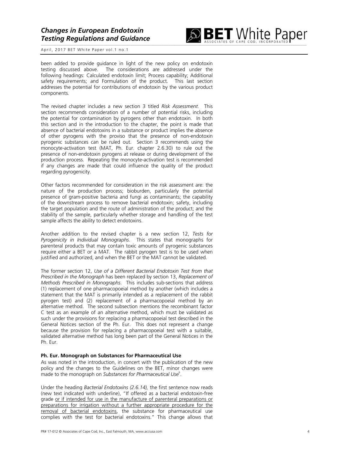

been added to provide guidance in light of the new policy on endotoxin testing discussed above. The considerations are addressed under the following headings: Calculated endotoxin limit; Process capability; Additional safety requirements; and Formulation of the product. This last section addresses the potential for contributions of endotoxin by the various product components.

The revised chapter includes a new section 3 titled *Risk Assessment*. This section recommends consideration of a number of potential risks, including the potential for contamination by pyrogens other than endotoxin. In both this section and in the introduction to the chapter, the point is made that absence of bacterial endotoxins in a substance or product implies the absence of other pyrogens with the proviso that the presence of non-endotoxin pyrogenic substances can be ruled out. Section 3 recommends using the monocyte-activation test (MAT, Ph. Eur. chapter 2.6.30) to rule out the presence of non-endotoxin pyrogens at release or during development of the production process. Repeating the monocyte-activation test is recommended if any changes are made that could influence the quality of the product regarding pyrogenicity.

Other factors recommended for consideration in the risk assessment are: the nature of the production process; bioburden, particularly the potential presence of gram-positive bacteria and fungi as contaminants; the capability of the downstream process to remove bacterial endotoxin; safety, including the target population and the route of administration of the product; and the stability of the sample, particularly whether storage and handling of the test sample affects the ability to detect endotoxins.

Another addition to the revised chapter is a new section 12, *Tests for Pyrogenicity in Individual Monographs*. This states that monographs for parenteral products that may contain toxic amounts of pyrogenic substances require either a BET or a MAT. The rabbit pyrogen test is to be used when justified and authorized, and when the BET or the MAT cannot be validated.

The former section 12, *Use of a Different Bacterial Endotoxin Test from that Prescribed in the Monograph* has been replaced by section 13, *Replacement of Methods Prescribed in Monographs*. This includes sub-sections that address (1) replacement of one pharmacopoeial method by another (which includes a statement that the MAT is primarily intended as a replacement of the rabbit pyrogen test) and (2) replacement of a pharmacopoeial method by an alternative method. The second subsection mentions the recombinant factor C test as an example of an alternative method, which must be validated as such under the provisions for replacing a pharmacopoeial test described in the General Notices section of the Ph. Eur. This does not represent a change because the provision for replacing a pharmacopoeial test with a suitable, validated alternative method has long been part of the General Notices in the Ph. Eur.

#### **Ph. Eur. Monograph on Substances for Pharmaceutical Use**

As was noted in the introduction, in concert with the publication of the new policy and the changes to the Guidelines on the BET, minor changes were made to the monograph on *Substances for Pharmaceutical Use* 6 .

Under the heading *Bacterial Endotoxins (2.6.14),* the first sentence now reads (new text indicated with underline), "If offered as a bacterial endotoxin-free grade or if intended for use in the manufacture of parenteral preparations or preparations for irrigation without a further appropriate procedure for the removal of bacterial endotoxins, the substance for pharmaceutical use complies with the test for bacterial endotoxins." This change allows that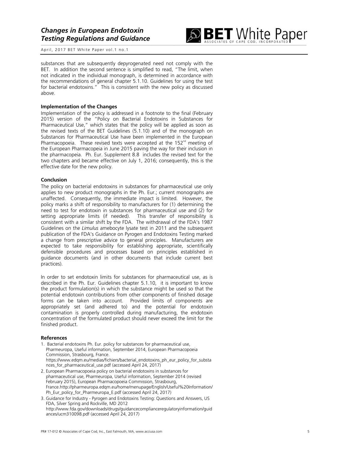

substances that are subsequently depyrogenated need not comply with the BET. In addition the second sentence is simplified to read, "The limit, when not indicated in the individual monograph, is determined in accordance with the recommendations of general chapter 5.1.10. Guidelines for using the test for bacterial endotoxins." This is consistent with the new policy as discussed above.

## **Implementation of the Changes**

Implementation of the policy is addressed in a footnote to the final (February 2015) version of the "Policy on Bacterial Endotoxins in Substances for Pharmaceutical Use," which states that the policy will be applied as soon as the revised texts of the BET Guidelines (5.1.10) and of the monograph on Substances for Pharmaceutical Use have been implemented in the European Pharmacopoeia. These revised texts were accepted at the  $152<sup>nd</sup>$  meeting of the European Pharmacopeia in June 2015 paving the way for their inclusion in the pharmacopeia. Ph. Eur. Supplement 8.8 includes the revised text for the two chapters and became effective on July 1, 2016; consequently, this is the effective date for the new policy.

# **Conclusion**

The policy on bacterial endotoxins in substances for pharmaceutical use only applies to new product monographs in the Ph. Eur.; current monographs are unaffected. Consequently, the immediate impact is limited. However, the policy marks a shift of responsibility to manufacturers for (1) determining the need to test for endotoxin in substances for pharmaceutical use and (2) for setting appropriate limits (if needed). This transfer of responsibility is consistent with a similar shift by the FDA. The withdrawal of the FDA's 1987 Guidelines on the *Limulus* amebocyte lysate test in 2011 and the subsequent publication of the FDA's Guidance on Pyrogen and Endotoxins Testing marked a change from prescriptive advice to general principles. Manufacturers are expected to take responsibility for establishing appropriate, scientifically defensible procedures and processes based on principles established in guidance documents (and in other documents that include current best practices).

In order to set endotoxin limits for substances for pharmaceutical use, as is described in the Ph. Eur. Guidelines chapter 5.1.10, it is important to know the product formulation(s) in which the substance might be used so that the potential endotoxin contributions from other components of finished dosage forms can be taken into account. Provided limits of components are appropriately set (and adhered to) and the potential for endotoxin contamination is properly controlled during manufacturing, the endotoxin concentration of the formulated product should never exceed the limit for the finished product.

## **References**

- 1. Bacterial endotoxins Ph. Eur. policy for substances for pharmaceutical use, Pharmeuropa, Useful information, September 2014, European Pharmacopoeia Commission, Strasbourg, France. https://www.edqm.eu/medias/fichiers/bacterial\_endotoxins\_ph\_eur\_policy\_for\_substa nces\_for\_pharmaceutical\_use.pdf (accessed April 24, 2017)
- 2. European Pharmacopoeia policy on bacterial endotoxins in substances for pharmaceutical use, Pharmeuropa, Useful information, September 2014 (revised February 2015), European Pharmacopoeia Commission, Strasbourg, France.http://pharmeuropa.edqm.eu/home/menupage/English/Useful%20Information/ Ph\_Eur\_policy\_for\_Pharmeuropa\_E.pdf (accessed April 24, 2017)
- 3. Guidance for Industry Pyrogen and Endotoxins Testing: Questions and Answers, US FDA, Silver Spring and Rockville, MD 2012 http://www.fda.gov/downloads/drugs/guidancecomplianceregulatoryinformation/guid ances/ucm310098.pdf (accessed April 24, 2017)